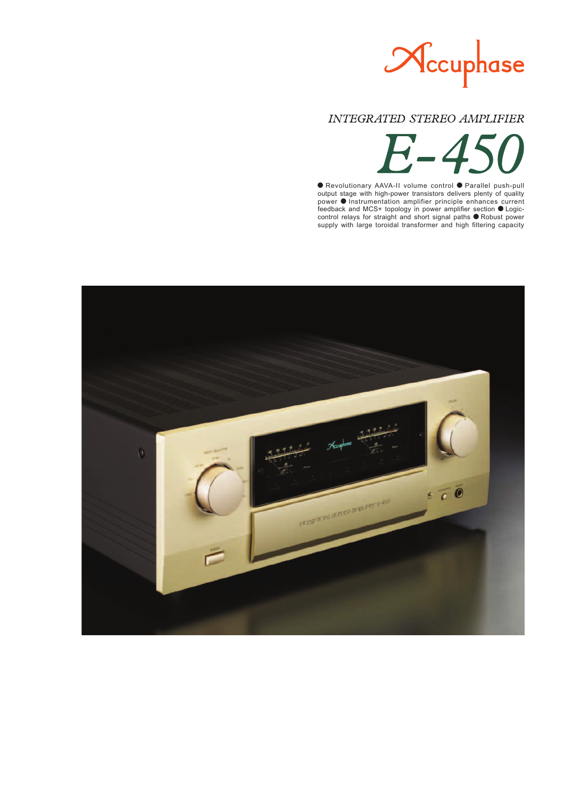

## **INTEGRATED STEREO AMPLIFIER**



● Revolutionary AAVA-II volume control ● Parallel push-pull output stage with high-power transistors delivers plenty of quality  $power \cdot$  Instrumentation amplifier principle enhances current feedback and MCS+ topology in power amplifier section  $\bullet$  Logiccontrol relays for straight and short signal paths  $\bullet$  Robust power supply with large toroidal transformer and high filtering capacity

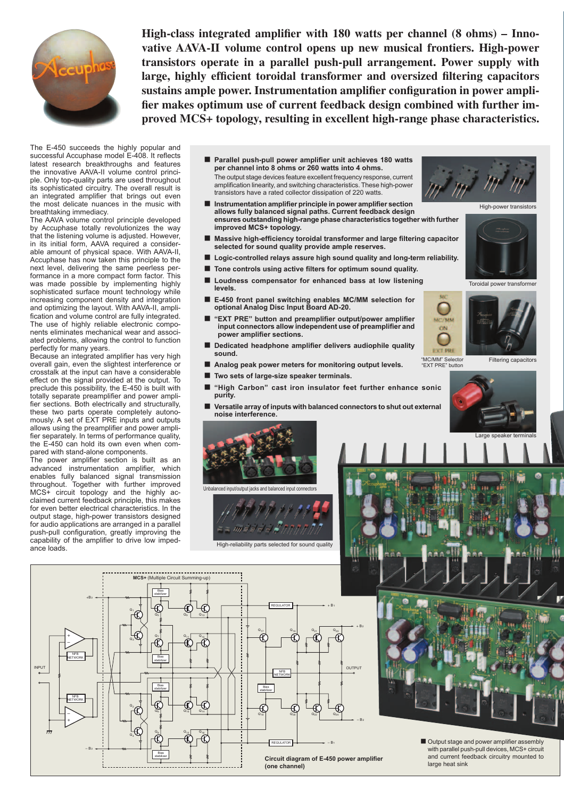

High-class integrated amplifier with 180 watts per channel (8 ohms) – Inno**vative AAVA-II volume control opens up new musical frontiers. High-power transistors operate in a parallel push-pull arrangement. Power supply with**  large, highly efficient toroidal transformer and oversized filtering capacitors sustains ample power. Instrumentation amplifier configuration in power amplifier makes optimum use of current feedback design combined with further im**proved MCS+ topology, resulting in excellent high-range phase characteristics.**

The E-450 succeeds the highly popular and successful Accuphase model E-408. It reflects latest research breakthroughs and features the innovative AAVA-II volume control principle. Only top-quality parts are used throughout its sophisticated circuitry. The overall result is an integrated amplifier that brings out even the most delicate nuances in the music with breathtaking immediacy.

The AAVA volume control principle developed by Accuphase totally revolutionizes the way that the listening volume is adjusted. However, in its initial form, AAVA required a considerable amount of physical space. With AAVA-II, Accuphase has now taken this principle to the next level, delivering the same peerless performance in a more compact form factor. This was made possible by implementing highly sophisticated surface mount technology while increasing component density and integration and optimizing the layout. With AAVA-II, amplification and volume control are fully integrated. The use of highly reliable electronic components eliminates mechanical wear and associated problems, allowing the control to function perfectly for many years.

Because an integrated amplifier has very high overall gain, even the slightest interference or crosstalk at the input can have a considerable effect on the signal provided at the output. To preclude this possibility, the E-450 is built with totally separate preamplifier and power amplifier sections. Both electrically and structurally, these two parts operate completely autonomously. A set of EXT PRE inputs and outputs allows using the preamplifier and power amplifier separately. In terms of performance quality, the E-450 can hold its own even when compared with stand-alone components.

The power amplifier section is built as an advanced instrumentation amplifier, which enables fully balanced signal transmission throughout. Together with further improved MCS+ circuit topology and the highly acclaimed current feedback principle, this makes for even better electrical characteristics. In the output stage, high-power transistors designed for audio applications are arranged in a parallel push-pull configuration, greatly improving the capability of the amplifier to drive low impedance loads.

- Parallel push-pull power amplifier unit achieves 180 watts **per channel into 8 ohms or 260 watts into 4 ohms.** The output stage devices feature excellent frequency response, current amplification linearity, and switching characteristics. These high-power transistors have a rated collector dissipation of 220 watts.
- $\blacksquare$  Instrumentation amplifier principle in power amplifier section **allows fully balanced signal paths. Current feedback design ensures outstanding high-range phase characteristics together with further improved MCS+ topology.**
- Massive high-efficiency toroidal transformer and large filtering capacitor **selected for sound quality provide ample reserves.**
- Logic-controlled relays assure high sound quality and long-term reliability.
- Tone controls using active filters for optimum sound quality.
- Loudness compensator for enhanced bass at low listening **levels.**
- E-450 front panel switching enables MC/MM selection for **optional Analog Disc Input Board AD-20.**
- "EXT PRE" button and preamplifier output/power amplifier input connectors allow independent use of preamplifier and power amplifier sections.
- Dedicated headphone amplifier delivers audiophile quality **sound.**
- **n** Analog peak power meters for monitoring output levels.
- Two sets of large-size speaker terminals.
- "High Carbon" cast iron insulator feet further enhance sonic **purity.**
- n **Versatile array of inputs with balanced connectors to shut out external noise interference.**







Toroidal power transformer













■ Output stage and power amplifier assembly with parallel push-pull devices, MCS+ circuit and current feedback circuitry mounted to

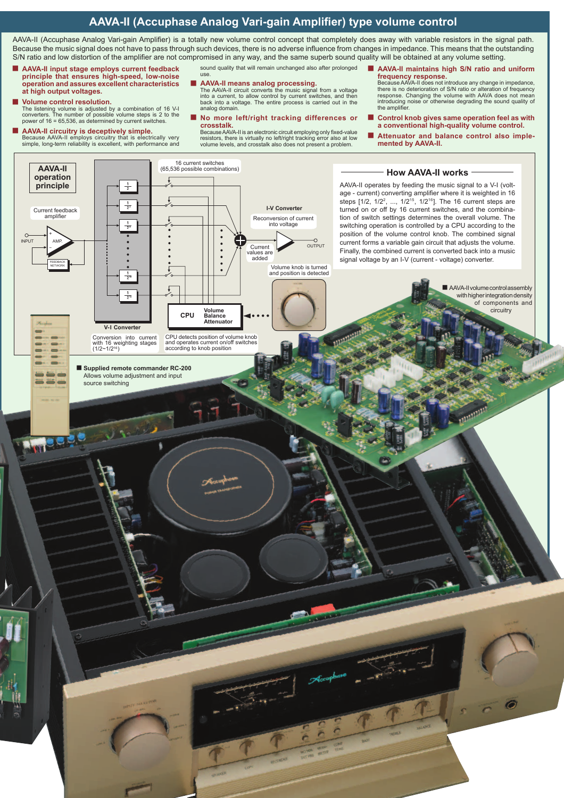## **AAVA-II (Accuphase Analog Vari-gain Amplifier) type volume control**

AAVA-II (Accuphase Analog Vari-gain Amplifier) is a totally new volume control concept that completely does away with variable resistors in the signal path. Because the music signal does not have to pass through such devices, there is no adverse influence from changes in impedance. This means that the outstanding S/N ratio and low distortion of the amplifier are not compromised in any way, and the same superb sound quality will be obtained at any volume setting.

sound quality that will remain unchanged also after prolonged

- n **AAVA-II input stage employs current feedback principle that ensures high-speed, low-noise operation and assures excellent characteristics at high output voltages.**
- n **Volume control resolution.** The listening volume is adjusted by a combination of 16 V-I converters. The number of possible volume steps is 2 to the power of 16 = 65,536, as determined by current switches.
- **AAVA-II circuitry is deceptively simple.**<br>Because AAVA-II employs circuitry that is electrically very simple, long-term reliability is excellent, with performance and
- **AAVA-II means analog processing.**<br>The AAVA-II circuit converts the music signal from a voltage<br>into a current, to allow control by current switches, and then
- back into a voltage. The entire process is carried out in the analog domain.
- No more left/right tracking differences or **crosstalk.**

Because AAVA-II is an electronic circuit employing only fixed-value<br>resistors, there is virtually no left/right tracking error also at low<br>volume levels, and crosstalk also does not present a problem.

■ AAVA-II maintains high S/N ratio and uniform **frequency response.** Because AAVA-II does not introduce any change in impedance,

there is no deterioration of S/N ratio or alteration of frequency<br>response. Changing the volume with AAVA does not mean<br>introducing noise or otherwise degrading the sound quality of<br>the amplifier.

- Control knob gives same operation feel as with **a conventional high-quality volume control.**
- Attenuator and balance control also imple**mented by AAVA-II.**